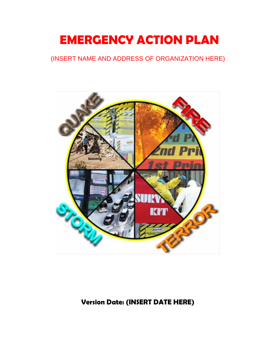# **EMERGENCY ACTION PLAN**

## (INSERT NAME AND ADDRESS OF ORGANIZATION HERE)



## **Version Date: (INSERT DATE HERE)**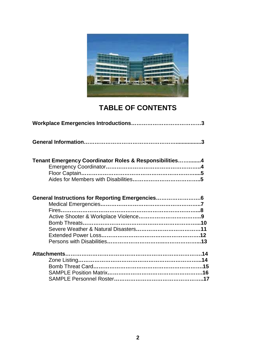

## **TABLE OF CONTENTS**

| Tenant Emergency Coordinator Roles & Responsibilities4 |  |
|--------------------------------------------------------|--|
| General Instructions for Reporting Emergencies         |  |
|                                                        |  |
|                                                        |  |
|                                                        |  |
|                                                        |  |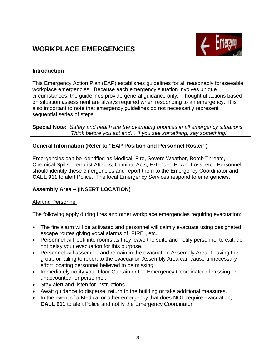

#### **Introduction**

This Emergency Action Plan (EAP) establishes guidelines for all reasonably foreseeable workplace emergencies. Because each emergency situation involves unique circumstances, the guidelines provide general guidance only. Thoughtful actions based on situation assessment are always required when responding to an emergency. It is also important to note that emergency guidelines do not necessarily represent sequential series of steps.

**Special Note:** *Safety and health are the overriding priorities in all emergency situations. Think before you act and… if you see something, say something!*

#### **General Information (Refer to "EAP Position and Personnel Roster")**

Emergencies can be identified as Medical, Fire, Severe Weather, Bomb Threats, Chemical Spills, Terrorist Attacks, Criminal Acts, Extended Power Loss, etc. Personnel should identify these emergencies and report them to the Emergency Coordinator and **CALL 911** to alert Police. The local Emergency Services respond to emergencies.

### **Assembly Area – (INSERT LOCATION)**

#### Alerting Personnel

The following apply during fires and other workplace emergencies requiring evacuation:

- The fire alarm will be activated and personnel will calmly evacuate using designated escape routes giving vocal alarms of "FIRE", etc.
- Personnel will look into rooms as they leave the suite and notify personnel to exit; do not delay your evacuation for this purpose.
- Personnel will assemble and remain in the evacuation Assembly Area. Leaving the group or failing to report to the evacuation Assembly Area can cause unnecessary effort locating personnel believed to be missing.
- Immediately notify your Floor Captain or the Emergency Coordinator of missing or unaccounted for personnel.
- Stay alert and listen for instructions.
- Await guidance to disperse, return to the building or take additional measures.
- In the event of a Medical or other emergency that does NOT require evacuation, **CALL 911** to alert Police and notify the Emergency Coordinator.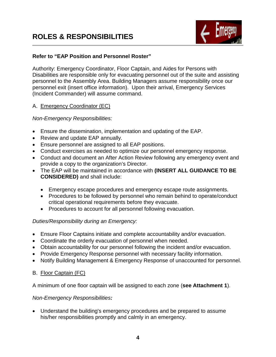

#### **Refer to "EAP Position and Personnel Roster"**

Authority: Emergency Coordinator, Floor Captain, and Aides for Persons with Disabilities are responsible only for evacuating personnel out of the suite and assisting personnel to the Assembly Area. Building Managers assume responsibility once our personnel exit (insert office information). Upon their arrival, Emergency Services (Incident Commander) will assume command.

#### A. Emergency Coordinator (EC)

*Non-Emergency Responsibilities:*

- Ensure the dissemination, implementation and updating of the EAP.
- Review and update EAP annually.
- Ensure personnel are assigned to all EAP positions.
- Conduct exercises as needed to optimize our personnel emergency response.
- Conduct and document an After Action Review following any emergency event and provide a copy to the organization's Director.
- The EAP will be maintained in accordance with **(INSERT ALL GUIDANCE TO BE CONSIDERED)** and shall include:
	- Emergency escape procedures and emergency escape route assignments.
	- Procedures to be followed by personnel who remain behind to operate/conduct critical operational requirements before they evacuate.
	- Procedures to account for all personnel following evacuation.

### *Duties/Responsibility during an Emergency:*

- Ensure Floor Captains initiate and complete accountability and/or evacuation.
- Coordinate the orderly evacuation of personnel when needed.
- Obtain accountability for our personnel following the incident and/or evacuation.
- Provide Emergency Response personnel with necessary facility information.
- Notify Building Management & Emergency Response of unaccounted for personnel.

### B. Floor Captain (FC)

A minimum of one floor captain will be assigned to each zone (**see Attachment 1**).

#### *Non-Emergency Responsibilities:*

• Understand the building's emergency procedures and be prepared to assume his/her responsibilities promptly and calmly in an emergency.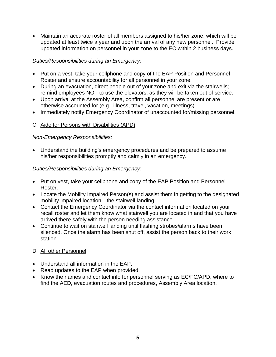• Maintain an accurate roster of all members assigned to his/her zone, which will be updated at least twice a year and upon the arrival of any new personnel. Provide updated information on personnel in your zone to the EC within 2 business days.

#### *Duties/Responsibilities during an Emergency:*

- Put on a vest, take your cellphone and copy of the EAP Position and Personnel Roster and ensure accountability for all personnel in your zone.
- During an evacuation, direct people out of your zone and exit via the stairwells; remind employees NOT to use the elevators, as they will be taken out of service.
- Upon arrival at the Assembly Area, confirm all personnel are present or are otherwise accounted for (e.g., illness, travel, vacation, meetings).
- Immediately notify Emergency Coordinator of unaccounted for/missing personnel.

### C. Aide for Persons with Disabilities (APD)

#### *Non-Emergency Responsibilities:*

• Understand the building's emergency procedures and be prepared to assume his/her responsibilities promptly and calmly in an emergency.

#### *Duties/Responsibilities during an Emergency:*

- Put on vest, take your cellphone and copy of the EAP Position and Personnel Roster.
- Locate the Mobility Impaired Person(s) and assist them in getting to the designated mobility impaired location—the stairwell landing.
- Contact the Emergency Coordinator via the contact information located on your recall roster and let them know what stairwell you are located in and that you have arrived there safely with the person needing assistance.
- Continue to wait on stairwell landing until flashing strobes/alarms have been silenced. Once the alarm has been shut off, assist the person back to their work station.

### D. All other Personnel

- Understand all information in the EAP.
- Read updates to the EAP when provided.
- Know the names and contact info for personnel serving as EC/FC/APD, where to find the AED, evacuation routes and procedures, Assembly Area location.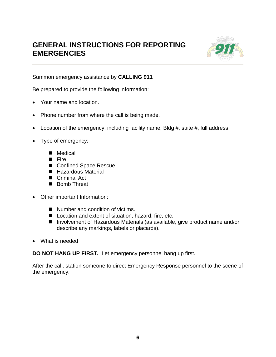## **GENERAL INSTRUCTIONS FOR REPORTING EMERGENCIES**



Summon emergency assistance by **CALLING 911**

Be prepared to provide the following information:

- Your name and location.
- Phone number from where the call is being made.
- Location of the emergency, including facility name, Bldg #, suite #, full address.
- Type of emergency:
	- Medical
	- **Fire**
	- Confined Space Rescue
	- Hazardous Material
	- Criminal Act
	- Bomb Threat
- Other important Information:
	- Number and condition of victims.
	- Location and extent of situation, hazard, fire, etc.
	- Involvement of Hazardous Materials (as available, give product name and/or describe any markings, labels or placards).
- What is needed

**DO NOT HANG UP FIRST.** Let emergency personnel hang up first.

After the call, station someone to direct Emergency Response personnel to the scene of the emergency.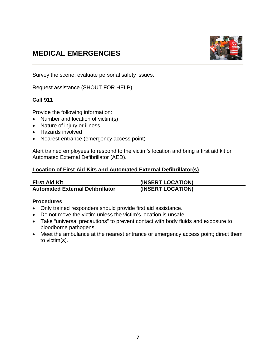## **MEDICAL EMERGENCIES**



Survey the scene; evaluate personal safety issues.

Request assistance (SHOUT FOR HELP)

#### **Call 911**

Provide the following information:

- Number and location of victim(s)
- Nature of injury or illness
- Hazards involved
- Nearest entrance (emergency access point)

Alert trained employees to respond to the victim's location and bring a first aid kit or Automated External Defibrillator (AED).

#### **Location of First Aid Kits and Automated External Defibrillator(s)**

| <b>First Aid Kit</b>                    | (INSERT LOCATION) |
|-----------------------------------------|-------------------|
| <b>Automated External Defibrillator</b> | (INSERT LOCATION) |

#### **Procedures**

- Only trained responders should provide first aid assistance.
- Do not move the victim unless the victim's location is unsafe.
- Take "universal precautions" to prevent contact with body fluids and exposure to bloodborne pathogens.
- Meet the ambulance at the nearest entrance or emergency access point; direct them to victim(s).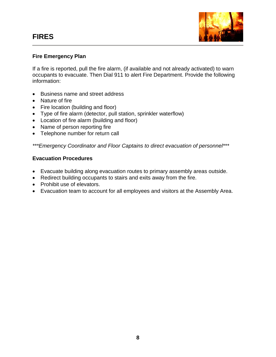

#### **Fire Emergency Plan**

If a fire is reported, pull the fire alarm, (if available and not already activated) to warn occupants to evacuate. Then Dial 911 to alert Fire Department. Provide the following information:

- Business name and street address
- Nature of fire
- Fire location (building and floor)
- Type of fire alarm (detector, pull station, sprinkler waterflow)
- Location of fire alarm (building and floor)
- Name of person reporting fire
- Telephone number for return call

*\*\*\*Emergency Coordinator and Floor Captains to direct evacuation of personnel\*\*\**

#### **Evacuation Procedures**

- Evacuate building along evacuation routes to primary assembly areas outside.
- Redirect building occupants to stairs and exits away from the fire.
- Prohibit use of elevators.
- Evacuation team to account for all employees and visitors at the Assembly Area.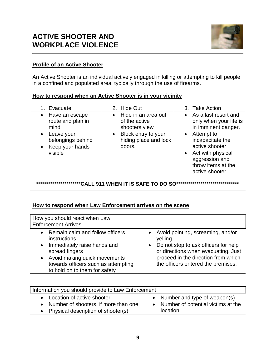

#### **Profile of an Active Shooter**

An Active Shooter is an individual actively engaged in killing or attempting to kill people in a confined and populated area, typically through the use of firearms.

| How to respond when an Active Shooter is in your vicinity |  |
|-----------------------------------------------------------|--|
|-----------------------------------------------------------|--|

| 1. Evacuate                                                                                                                                         | 2. Hide Out                                                                                                                               | 3. Take Action                                                                                                                                                                                                                       |
|-----------------------------------------------------------------------------------------------------------------------------------------------------|-------------------------------------------------------------------------------------------------------------------------------------------|--------------------------------------------------------------------------------------------------------------------------------------------------------------------------------------------------------------------------------------|
| Have an escape<br>$\bullet$<br>route and plan in<br>mind<br>Leave your<br>$\bullet$<br>belongings behind<br>Keep your hands<br>$\bullet$<br>visible | Hide in an area out<br>$\bullet$<br>of the active<br>shooters view<br>Block entry to your<br>$\bullet$<br>hiding place and lock<br>doors. | • As a last resort and<br>only when your life is<br>in imminent danger.<br>Attempt to<br>$\bullet$<br>incapacitate the<br>active shooter<br>Act with physical<br>$\bullet$<br>aggression and<br>throw items at the<br>active shooter |
|                                                                                                                                                     | ***************CALL 911 WHEN IT IS SAFE TO DO SO                                                                                          |                                                                                                                                                                                                                                      |
|                                                                                                                                                     |                                                                                                                                           |                                                                                                                                                                                                                                      |

**How to respond when Law Enforcement arrives on the scene**

| How you should react when Law<br><b>Enforcement Arrives</b>                                                                                                                                                                        |                                                                                                                                                                                                              |
|------------------------------------------------------------------------------------------------------------------------------------------------------------------------------------------------------------------------------------|--------------------------------------------------------------------------------------------------------------------------------------------------------------------------------------------------------------|
| Remain calm and follow officers<br>instructions<br>Immediately raise hands and<br>$\bullet$<br>spread fingers<br>Avoid making quick movements<br>$\bullet$<br>towards officers such as attempting<br>to hold on to them for safety | • Avoid pointing, screaming, and/or<br>yelling<br>• Do not stop to ask officers for help<br>or directions when evacuating. Just<br>proceed in the direction from which<br>the officers entered the premises. |

| Information you should provide to Law Enforcement |                                    |  |  |  |
|---------------------------------------------------|------------------------------------|--|--|--|
| • Location of active shooter                      | • Number and type of weapon(s)     |  |  |  |
| • Number of shooters, if more than one            | Number of potential victims at the |  |  |  |
| Physical description of shooter(s)                | location                           |  |  |  |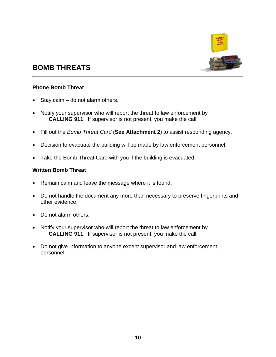

## **BOMB THREATS**

#### **Phone Bomb Threat**

- Stay calm  $-$  do not alarm others.
- Notify your supervisor who will report the threat to law enforcement by **CALLING 911**. If supervisor is not present, you make the call.
- Fill out the *Bomb Threat Card* (**See Attachment 2**) to assist responding agency.
- Decision to evacuate the building will be made by law enforcement personnel.
- Take the Bomb Threat Card with you if the building is evacuated.

#### **Written Bomb Threat**

- Remain calm and leave the message where it is found.
- Do not handle the document any more than necessary to preserve fingerprints and other evidence.
- Do not alarm others.
- Notify your supervisor who will report the threat to law enforcement by **CALLING 911**. If supervisor is not present, you make the call.
- Do not give information to anyone except supervisor and law enforcement personnel.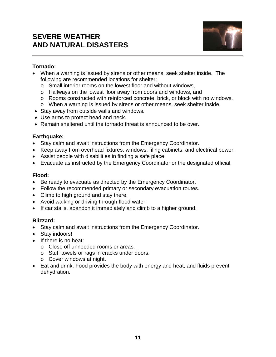## **SEVERE WEATHER AND NATURAL DISASTERS**



#### **Tornado:**

- When a warning is issued by sirens or other means, seek shelter inside. The following are recommended locations for shelter:
	- o Small interior rooms on the lowest floor and without windows,
	- o Hallways on the lowest floor away from doors and windows, and
	- o Rooms constructed with reinforced concrete, brick, or block with no windows.
	- o When a warning is issued by sirens or other means, seek shelter inside.
- Stay away from outside walls and windows.
- Use arms to protect head and neck.
- Remain sheltered until the tornado threat is announced to be over.

#### **Earthquake:**

- Stay calm and await instructions from the Emergency Coordinator.
- Keep away from overhead fixtures, windows, filing cabinets, and electrical power.
- Assist people with disabilities in finding a safe place.
- Evacuate as instructed by the Emergency Coordinator or the designated official.

### **Flood:**

- Be ready to evacuate as directed by the Emergency Coordinator.
- Follow the recommended primary or secondary evacuation routes.
- Climb to high ground and stay there.
- Avoid walking or driving through flood water.
- If car stalls, abandon it immediately and climb to a higher ground.

### **Blizzard:**

- Stay calm and await instructions from the Emergency Coordinator.
- Stay indoors!
- If there is no heat:
	- o Close off unneeded rooms or areas.
	- o Stuff towels or rags in cracks under doors.
	- o Cover windows at night.
- Eat and drink. Food provides the body with energy and heat, and fluids prevent dehydration.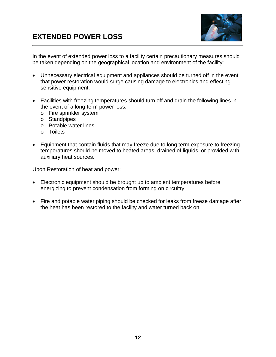

In the event of extended power loss to a facility certain precautionary measures should be taken depending on the geographical location and environment of the facility:

- Unnecessary electrical equipment and appliances should be turned off in the event that power restoration would surge causing damage to electronics and effecting sensitive equipment.
- Facilities with freezing temperatures should turn off and drain the following lines in the event of a long-term power loss.
	- o Fire sprinkler system
	- o Standpipes
	- o Potable water lines
	- o Toilets
- Equipment that contain fluids that may freeze due to long term exposure to freezing temperatures should be moved to heated areas, drained of liquids, or provided with auxiliary heat sources.

Upon Restoration of heat and power:

- Electronic equipment should be brought up to ambient temperatures before energizing to prevent condensation from forming on circuitry.
- Fire and potable water piping should be checked for leaks from freeze damage after the heat has been restored to the facility and water turned back on.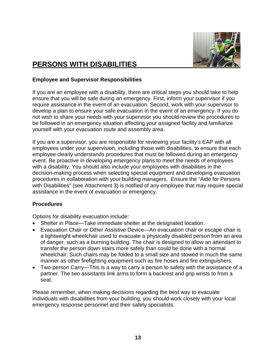

## **PERSONS WITH DISABILITIES**

#### **Employee and Supervisor Responsibilities**

If you are an employee with a disability, there are critical steps you should take to help ensure that you will be safe during an emergency. First, inform your supervisor if you require assistance in the event of an evacuation. Second, work with your supervisor to develop a plan to ensure your safe evacuation in the event of an emergency. If you do not wish to share your needs with your supervisor you should review the procedures to be followed in an emergency situation affecting your assigned facility and familiarize yourself with your evacuation route and assembly area.

If you are a supervisor, you are responsible for reviewing your facility's EAP with all employees under your supervision, including those with disabilities, to ensure that each employee clearly understands procedures that must be followed during an emergency event. Be proactive in developing emergency plans to meet the needs of employees with a disability. You should also include your employees with disabilities in the decision-making process when selecting special equipment and developing evacuation procedures in collaboration with your building managers. Ensure the "Aide for Persons with Disabilities" (see Attachment 3) is notified of any employee that may require special assistance in the event of evacuation or emergency.

#### **Procedures**

Options for disability evacuation include:

- Shelter in Place—Take immediate shelter at the designated location.
- Evacuation Chair or Other Assistive Device—An evacuation chair or escape chair is a lightweight wheelchair used to evacuate a physically disabled person from an area of danger, such as a burning building. The chair is designed to allow an attendant to transfer the person down stairs more safely than could be done with a normal wheelchair. Such chairs may be folded to a small size and stowed in much the same manner as other firefighting equipment such as fire hoses and fire extinguishers.
- Two-person Carry—This is a way to carry a person to safety with the assistance of a partner. The two assistants link arms to form a backrest and grip wrists to from a seat.

Please remember, when making decisions regarding the best way to evacuate individuals with disabilities from your building, you should work closely with your local emergency response personnel and their safety specialists.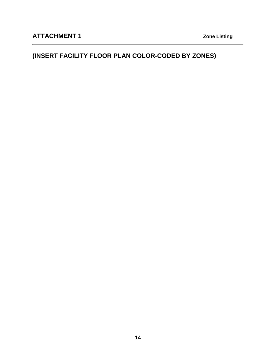## **(INSERT FACILITY FLOOR PLAN COLOR-CODED BY ZONES)**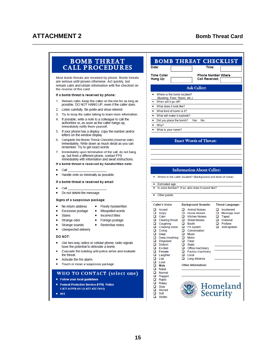### **ATTACHMENT 2** Bomb Threat Card

#### **BOMB THREAT CALL PROCEDURES**

Most bomb threats are received by phone. Bomb threats are serious until proven otherwise. Act quickly, but remain calm and obtain information with the checklist on the reverse of this card.

#### If a bomb threat is received by phone:

- 1. Remain calm. Keep the caller on the line for as long as possible. DO NOT HANG UP, even if the caller does.
- 2. Listen carefully. Be polite and show interest.
- 3. Try to keep the caller talking to learn more information.
- 4. If possible, write a note to a colleague to call the authorities or, as soon as the caller hangs up, immediately notify them yourself.
- 5. If your phone has a display, copy the number and/or letters on the window display.
- 6. Complete the Bomb Threat Checklist (reverse side) immediately. Write down as much detail as you can remember. Try to get exact words.
- Immediately upon termination of the call, do not hang 7. up, but from a different phone, contact FPS immediately with information and await instructions.
- If a bomb threat is received by handwritten note:

#### $\bullet$ Call

Handle note as minimally as possible. ٠

#### If a bomb threat is received by email:

- Call
- Do not delete the message.

#### Signs of a suspicious package:

- No return address ٠
- Excessive postage
	- **Stains** 
		- Incorrect titles

• Poorly handwritten

• Misspelled words

• Restrictive notes

- Foreign postage
- Strange odor Strange sounds
- ٠ Unexpected delivery

#### **DO NOT:**

 $\bullet$ 

- Use two-way radios or cellular phone; radio signals have the potential to detonate a bomb.
- Evacuate the building until police arrive and evaluate the threat.
- Activate the fire alarm.
- Touch or move a suspicious package ٠

#### WHO TO CONTACT (select one)

- Follow your local guidelines
- Federal Protective Service (FPS) Police 1-877-4-FPS-411 (1-877-437-7411)
- $911$

|                                                 |                                                              | <b>BOMB THREAT CHECKLIST</b>     |
|-------------------------------------------------|--------------------------------------------------------------|----------------------------------|
| Date:                                           |                                                              | Time:                            |
|                                                 |                                                              |                                  |
| <b>Time Caller</b>                              |                                                              | <b>Phone Number Where</b>        |
| Hung Up:                                        | <b>Call Received:</b>                                        |                                  |
|                                                 | <b>Ask Caller:</b>                                           |                                  |
| ٠<br>Where is the bomb located?                 |                                                              |                                  |
| (Building, Floor, Room, etc.)                   |                                                              |                                  |
| When will it go off?<br>What does it look like? |                                                              |                                  |
| What kind of bomb is it?<br>۰                   |                                                              |                                  |
| What will make it explode?<br>۰                 |                                                              |                                  |
| Did you place the bomb?<br>۰                    | Yes<br>No                                                    |                                  |
| ۰<br>Why?                                       |                                                              |                                  |
| What is your name?                              |                                                              |                                  |
|                                                 |                                                              |                                  |
|                                                 | <b>Exact Words of Threat:</b>                                |                                  |
|                                                 |                                                              |                                  |
|                                                 |                                                              |                                  |
|                                                 |                                                              |                                  |
|                                                 |                                                              |                                  |
|                                                 |                                                              |                                  |
|                                                 | <b>Information About Caller:</b>                             |                                  |
|                                                 |                                                              |                                  |
|                                                 | Where is the caller located? (Background and level of noise) |                                  |
| Estimated age:                                  |                                                              |                                  |
|                                                 | Is voice familiar? If so, who does it sound like?            |                                  |
| Other points:                                   |                                                              |                                  |
|                                                 |                                                              |                                  |
| <b>Caller's Voice</b>                           | <b>Background Sounds:</b>                                    | <b>Threat Language:</b>          |
| ם<br>Accent                                     | о<br><b>Animal Noises</b>                                    | $\Box$<br>Incoherent             |
| o<br>Angry<br>o<br>Calm                         | о<br><b>House Noises</b><br>o<br><b>Kitchen Noises</b>       | o.<br>Message read<br>□<br>Taped |
| o<br>Clearing throat                            | o<br><b>Street Noises</b>                                    | $\Box$ Irrational                |
| о<br>Coughing                                   | o.<br>Booth                                                  | 0.<br>Profane                    |
| o<br><b>Cracking voice</b><br>o<br>Crying       | o<br>PA system<br>о<br>Conversation                          | $\Box$<br>Well-spoken            |
| О<br>Deep                                       | о<br>Music                                                   |                                  |
| o<br>Deep breathing                             | o<br>Motor                                                   |                                  |
| о<br><b>Disquised</b><br>ם<br><b>Distinct</b>   | о<br>Clear<br>ם<br><b>Static</b>                             |                                  |
| ם<br>Excited                                    | о<br>Office machinery                                        |                                  |
| о<br>Female                                     | о<br>Factory machinery                                       |                                  |
| о<br>Laughter<br>о<br>Lisp                      | о<br>Local<br>Long distance                                  |                                  |
| ◻<br>Loud                                       |                                                              |                                  |
| о<br>Male                                       | <b>Other Information:</b>                                    |                                  |
| о<br><b>Nasal</b><br>о<br>Normal                |                                                              |                                  |
| о<br>Ragged                                     |                                                              |                                  |
| о<br>Rapid<br>O                                 |                                                              |                                  |
| Raspy<br>о<br>Slow                              |                                                              | Homeland                         |
| o<br>Slurred                                    |                                                              |                                  |
| о<br>Soft                                       |                                                              | <b>Security</b>                  |

 $\Box$ Stutter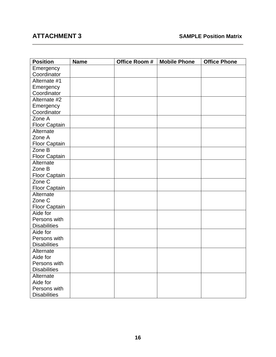| <b>Position</b>      | <b>Name</b> | Office Room # | <b>Mobile Phone</b> | <b>Office Phone</b> |
|----------------------|-------------|---------------|---------------------|---------------------|
| Emergency            |             |               |                     |                     |
| Coordinator          |             |               |                     |                     |
| Alternate #1         |             |               |                     |                     |
| Emergency            |             |               |                     |                     |
| Coordinator          |             |               |                     |                     |
| Alternate #2         |             |               |                     |                     |
| Emergency            |             |               |                     |                     |
| Coordinator          |             |               |                     |                     |
| Zone A               |             |               |                     |                     |
| <b>Floor Captain</b> |             |               |                     |                     |
| Alternate            |             |               |                     |                     |
| Zone A               |             |               |                     |                     |
| <b>Floor Captain</b> |             |               |                     |                     |
| Zone B               |             |               |                     |                     |
| Floor Captain        |             |               |                     |                     |
| Alternate            |             |               |                     |                     |
| Zone B               |             |               |                     |                     |
| Floor Captain        |             |               |                     |                     |
| Zone $\overline{C}$  |             |               |                     |                     |
| Floor Captain        |             |               |                     |                     |
| Alternate            |             |               |                     |                     |
| Zone C               |             |               |                     |                     |
| <b>Floor Captain</b> |             |               |                     |                     |
| Aide for             |             |               |                     |                     |
| Persons with         |             |               |                     |                     |
| <b>Disabilities</b>  |             |               |                     |                     |
| Aide for             |             |               |                     |                     |
| Persons with         |             |               |                     |                     |
| <b>Disabilities</b>  |             |               |                     |                     |
| Alternate            |             |               |                     |                     |
| Aide for             |             |               |                     |                     |
| Persons with         |             |               |                     |                     |
| <b>Disabilities</b>  |             |               |                     |                     |
| Alternate            |             |               |                     |                     |
| Aide for             |             |               |                     |                     |
| Persons with         |             |               |                     |                     |
| <b>Disabilities</b>  |             |               |                     |                     |